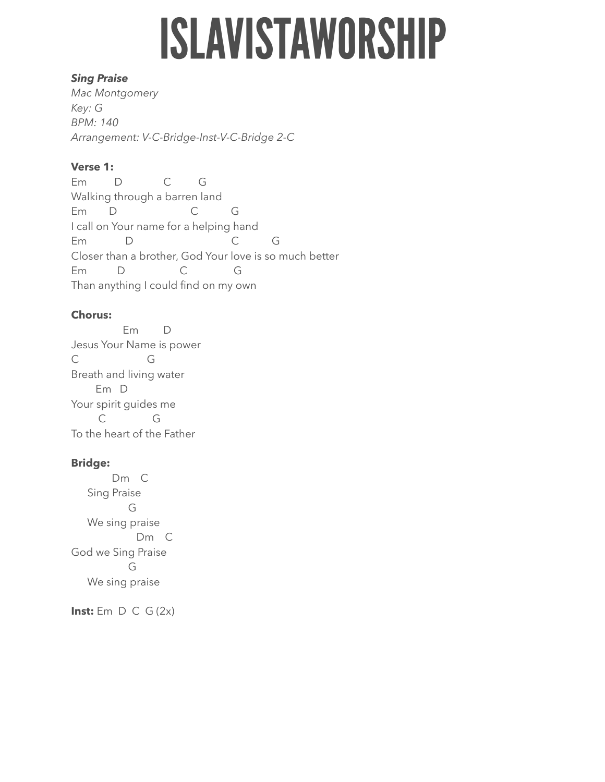# **ISLAVISTAWORSHIP**

### *Sing Praise*

*Mac Montgomery Key: G BPM: 140 Arrangement: V-C-Bridge-Inst-V-C-Bridge 2-C* 

## **Verse 1:**

Em D C G Walking through a barren land Em D C G I call on Your name for a helping hand Em D C G Closer than a brother, God Your love is so much better Em D C G Than anything I could find on my own

## **Chorus:**

 Em D Jesus Your Name is power C G Breath and living water Em D Your spirit guides me C G To the heart of the Father

## **Bridge:**

 Dm C Sing Praise G We sing praise Dm C God we Sing Praise G We sing praise

**Inst:** Em D C G (2x)